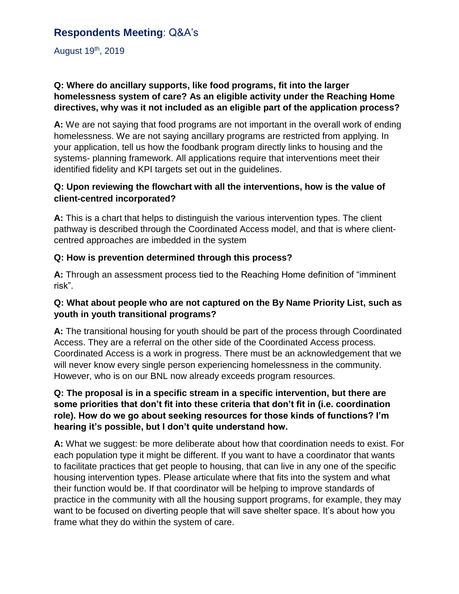# **Respondents Meeting**: Q&A's

August 19th, 2019

# **Q: Where do ancillary supports, like food programs, fit into the larger homelessness system of care? As an eligible activity under the Reaching Home directives, why was it not included as an eligible part of the application process?**

**A:** We are not saying that food programs are not important in the overall work of ending homelessness. We are not saying ancillary programs are restricted from applying. In your application, tell us how the foodbank program directly links to housing and the systems- planning framework. All applications require that interventions meet their identified fidelity and KPI targets set out in the guidelines.

# **Q: Upon reviewing the flowchart with all the interventions, how is the value of client-centred incorporated?**

**A:** This is a chart that helps to distinguish the various intervention types. The client pathway is described through the Coordinated Access model, and that is where clientcentred approaches are imbedded in the system

# **Q: How is prevention determined through this process?**

**A:** Through an assessment process tied to the Reaching Home definition of "imminent risk".

# **Q: What about people who are not captured on the By Name Priority List, such as youth in youth transitional programs?**

**A:** The transitional housing for youth should be part of the process through Coordinated Access. They are a referral on the other side of the Coordinated Access process. Coordinated Access is a work in progress. There must be an acknowledgement that we will never know every single person experiencing homelessness in the community. However, who is on our BNL now already exceeds program resources.

# **Q: The proposal is in a specific stream in a specific intervention, but there are some priorities that don't fit into these criteria that don't fit in (i.e. coordination role). How do we go about seeking resources for those kinds of functions? I'm hearing it's possible, but I don't quite understand how.**

**A:** What we suggest: be more deliberate about how that coordination needs to exist. For each population type it might be different. If you want to have a coordinator that wants to facilitate practices that get people to housing, that can live in any one of the specific housing intervention types. Please articulate where that fits into the system and what their function would be. If that coordinator will be helping to improve standards of practice in the community with all the housing support programs, for example, they may want to be focused on diverting people that will save shelter space. It's about how you frame what they do within the system of care.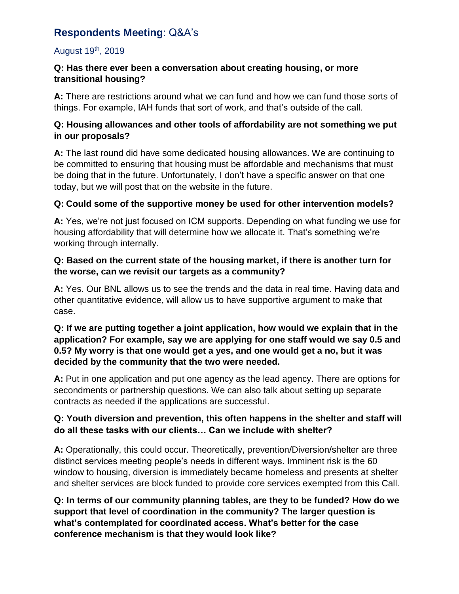# **Respondents Meeting**: Q&A's

# August 19th, 2019

#### **Q: Has there ever been a conversation about creating housing, or more transitional housing?**

**A:** There are restrictions around what we can fund and how we can fund those sorts of things. For example, IAH funds that sort of work, and that's outside of the call.

#### **Q: Housing allowances and other tools of affordability are not something we put in our proposals?**

**A:** The last round did have some dedicated housing allowances. We are continuing to be committed to ensuring that housing must be affordable and mechanisms that must be doing that in the future. Unfortunately, I don't have a specific answer on that one today, but we will post that on the website in the future.

# **Q: Could some of the supportive money be used for other intervention models?**

**A:** Yes, we're not just focused on ICM supports. Depending on what funding we use for housing affordability that will determine how we allocate it. That's something we're working through internally.

#### **Q: Based on the current state of the housing market, if there is another turn for the worse, can we revisit our targets as a community?**

**A:** Yes. Our BNL allows us to see the trends and the data in real time. Having data and other quantitative evidence, will allow us to have supportive argument to make that case.

# **Q: If we are putting together a joint application, how would we explain that in the application? For example, say we are applying for one staff would we say 0.5 and 0.5? My worry is that one would get a yes, and one would get a no, but it was decided by the community that the two were needed.**

**A:** Put in one application and put one agency as the lead agency. There are options for secondments or partnership questions. We can also talk about setting up separate contracts as needed if the applications are successful.

# **Q: Youth diversion and prevention, this often happens in the shelter and staff will do all these tasks with our clients… Can we include with shelter?**

**A:** Operationally, this could occur. Theoretically, prevention/Diversion/shelter are three distinct services meeting people's needs in different ways. Imminent risk is the 60 window to housing, diversion is immediately became homeless and presents at shelter and shelter services are block funded to provide core services exempted from this Call.

**Q: In terms of our community planning tables, are they to be funded? How do we support that level of coordination in the community? The larger question is what's contemplated for coordinated access. What's better for the case conference mechanism is that they would look like?**